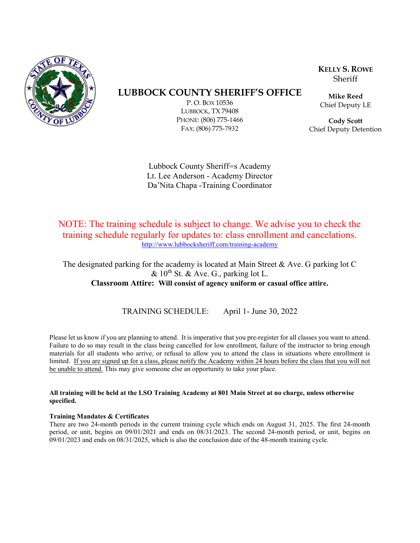

LUBBOCK COUNTY SHERIFF'S OFFICE

P. O. BOX 10536 LUBBOCK, TX 79408 PHONE: (806) 775-1466 FAX: (806) 775-7932

KELLY S. ROWE **Sheriff** 

Mike Reed Chief Deputy LE

Cody Scott Chief Deputy Detention

Lubbock County Sheriff=s Academy Lt. Lee Anderson - Academy Director Da'Nita Chapa -Training Coordinator

NOTE: The training schedule is subject to change. We advise you to check the training schedule regularly for updates to: class enrollment and cancelations. http://www.lubbocksheriff.com/training-academy

The designated parking for the academy is located at Main Street & Ave. G parking lot C  $& 10^{th}$  St.  $&$  Ave. G., parking lot L. Classroom Attire: Will consist of agency uniform or casual office attire.

TRAINING SCHEDULE: April 1- June 30, 2022

Please let us know if you are planning to attend. It is imperative that you pre-register for all classes you want to attend. Failure to do so may result in the class being cancelled for low enrollment, failure of the instructor to bring enough materials for all students who arrive, or refusal to allow you to attend the class in situations where enrollment is limited. If you are signed up for a class, please notify the Academy within 24 hours before the class that you will not be unable to attend. This may give someone else an opportunity to take your place.

#### All training will be held at the LSO Training Academy at 801 Main Street at no charge, unless otherwise specified.

### Training Mandates & Certificates

There are two 24-month periods in the current training cycle which ends on August 31, 2025. The first 24-month period, or unit, begins on 09/01/2021 and ends on 08/31/2023. The second 24-month period, or unit, begins on 09/01/2023 and ends on 08/31/2025, which is also the conclusion date of the 48-month training cycle.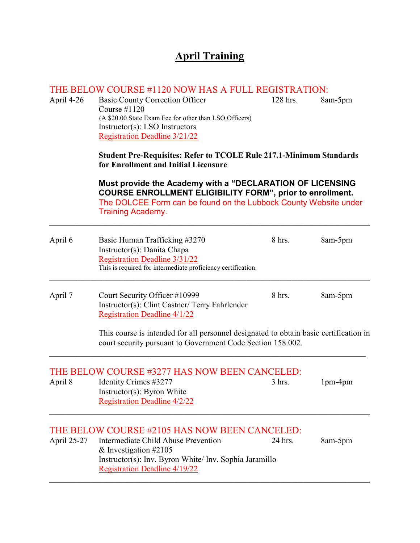# April Training

|             | THE BELOW COURSE #1120 NOW HAS A FULL REGISTRATION:                                                                                                                                                                                                                                                                                                 |          |           |  |  |
|-------------|-----------------------------------------------------------------------------------------------------------------------------------------------------------------------------------------------------------------------------------------------------------------------------------------------------------------------------------------------------|----------|-----------|--|--|
| April 4-26  | <b>Basic County Correction Officer</b><br>Course $\#1120$<br>(A \$20.00 State Exam Fee for other than LSO Officers)<br>Instructor(s): LSO Instructors<br><b>Registration Deadline 3/21/22</b>                                                                                                                                                       | 128 hrs. | 8am-5pm   |  |  |
|             | <b>Student Pre-Requisites: Refer to TCOLE Rule 217.1-Minimum Standards</b><br>for Enrollment and Initial Licensure<br>Must provide the Academy with a "DECLARATION OF LICENSING<br><b>COURSE ENROLLMENT ELIGIBILITY FORM", prior to enrollment.</b><br>The DOLCEE Form can be found on the Lubbock County Website under<br><b>Training Academy.</b> |          |           |  |  |
|             |                                                                                                                                                                                                                                                                                                                                                     |          |           |  |  |
| April 6     | Basic Human Trafficking #3270<br>Instructor(s): Danita Chapa<br>Registration Deadline 3/31/22<br>This is required for intermediate proficiency certification.                                                                                                                                                                                       | 8 hrs.   | 8am-5pm   |  |  |
| April 7     | Court Security Officer #10999<br>Instructor(s): Clint Castner/ Terry Fahrlender<br>Registration Deadline 4/1/22                                                                                                                                                                                                                                     | 8 hrs.   | 8am-5pm   |  |  |
|             | This course is intended for all personnel designated to obtain basic certification in<br>court security pursuant to Government Code Section 158.002.                                                                                                                                                                                                |          |           |  |  |
| April 8     | THE BELOW COURSE #3277 HAS NOW BEEN CANCELED:<br>Identity Crimes #3277<br>Instructor(s): Byron White<br><b>Registration Deadline 4/2/22</b>                                                                                                                                                                                                         | $3$ hrs. | $1pm-4pm$ |  |  |
|             | THE BELOW COURSE #2105 HAS NOW BEEN CANCELED:                                                                                                                                                                                                                                                                                                       |          |           |  |  |
| April 25-27 | Intermediate Child Abuse Prevention<br>& Investigation $#2105$<br>Instructor(s): Inv. Byron White/ Inv. Sophia Jaramillo<br><b>Registration Deadline 4/19/22</b>                                                                                                                                                                                    | 24 hrs.  | 8am-5pm   |  |  |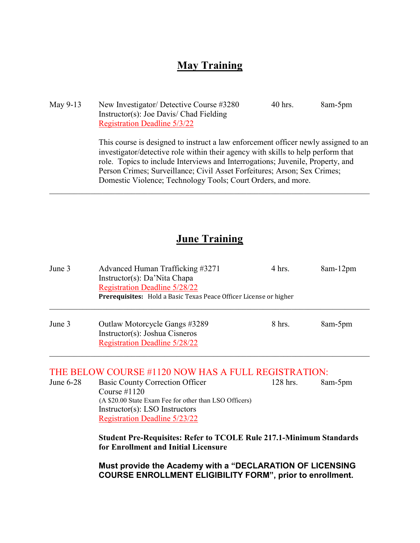# **May Training**

May 9-13 New Investigator/ Detective Course #3280 40 hrs. 8am-5pm Instructor(s): Joe Davis/ Chad Fielding Registration Deadline 5/3/22

This course is designed to instruct a law enforcement officer newly assigned to an investigator/detective role within their agency with skills to help perform that role. Topics to include Interviews and Interrogations; Juvenile, Property, and Person Crimes; Surveillance; Civil Asset Forfeitures; Arson; Sex Crimes; Domestic Violence; Technology Tools; Court Orders, and more.

## **June Training**

| June 3      | Advanced Human Trafficking #3271<br>Instructor(s): Da'Nita Chapa<br>Registration Deadline 5/28/22                                                                               | 4 hrs.     | 8am-12pm |  |  |  |
|-------------|---------------------------------------------------------------------------------------------------------------------------------------------------------------------------------|------------|----------|--|--|--|
|             | Prerequisites: Hold a Basic Texas Peace Officer License or higher                                                                                                               |            |          |  |  |  |
| June 3      | Outlaw Motorcycle Gangs #3289<br>Instructor(s): Joshua Cisneros<br>Registration Deadline 5/28/22                                                                                | 8 hrs.     | 8am-5pm  |  |  |  |
|             | THE BELOW COURSE #1120 NOW HAS A FULL REGISTRATION:                                                                                                                             |            |          |  |  |  |
| June $6-28$ | Basic County Correction Officer<br>Course $\#1120$<br>(A \$20.00 State Exam Fee for other than LSO Officers)<br>Instructor(s): LSO Instructors<br>Registration Deadline 5/23/22 | $128$ hrs. | 8am-5pm  |  |  |  |
|             | <b>Student Pre-Requisites: Refer to TCOLE Rule 217.1-Minimum Standards</b>                                                                                                      |            |          |  |  |  |

for Enrollment and Initial Licensure

Must provide the Academy with a "DECLARATION OF LICENSING COURSE ENROLLMENT ELIGIBILITY FORM", prior to enrollment.